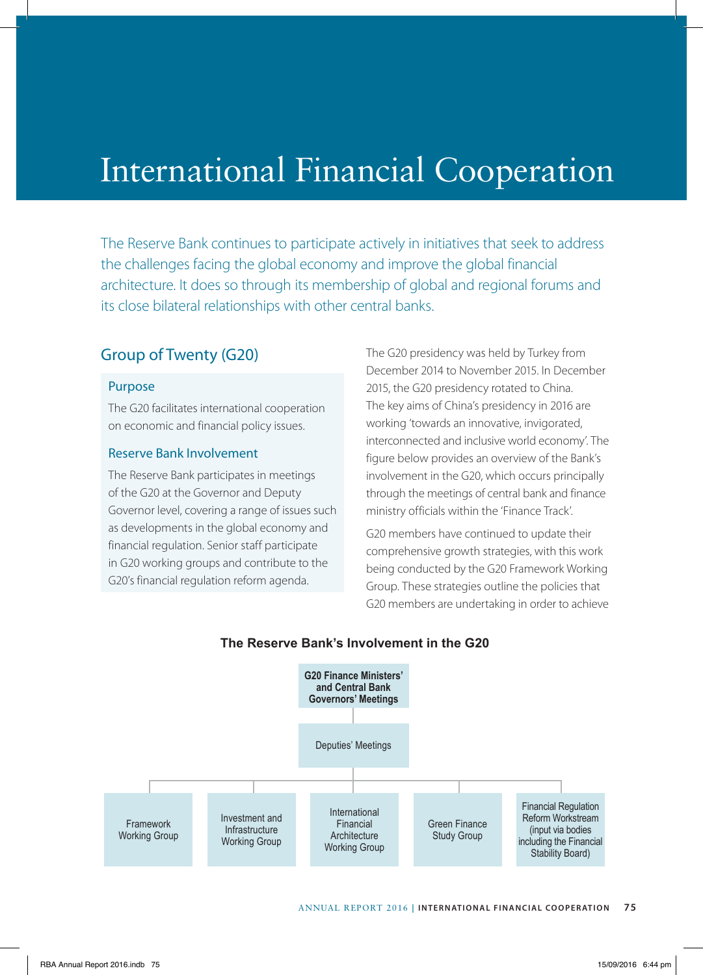# International Financial Cooperation

The Reserve Bank continues to participate actively in initiatives that seek to address the challenges facing the global economy and improve the global financial architecture. It does so through its membership of global and regional forums and its close bilateral relationships with other central banks.

## Group of Twenty (G20)

#### Purpose

The G20 facilitates international cooperation on economic and financial policy issues.

#### Reserve Bank Involvement

The Reserve Bank participates in meetings of the G20 at the Governor and Deputy Governor level, covering a range of issues such as developments in the global economy and financial regulation. Senior staff participate in G20 working groups and contribute to the G20's financial regulation reform agenda.

The G20 presidency was held by Turkey from December 2014 to November 2015. In December 2015, the G20 presidency rotated to China. The key aims of China's presidency in 2016 are working 'towards an innovative, invigorated, interconnected and inclusive world economy'. The figure below provides an overview of the Bank's involvement in the G20, which occurs principally through the meetings of central bank and finance ministry officials within the 'Finance Track'.

G20 members have continued to update their comprehensive growth strategies, with this work being conducted by the G20 Framework Working Group. These strategies outline the policies that G20 members are undertaking in order to achieve



#### **The Reserve Bank's Involvement in the G20**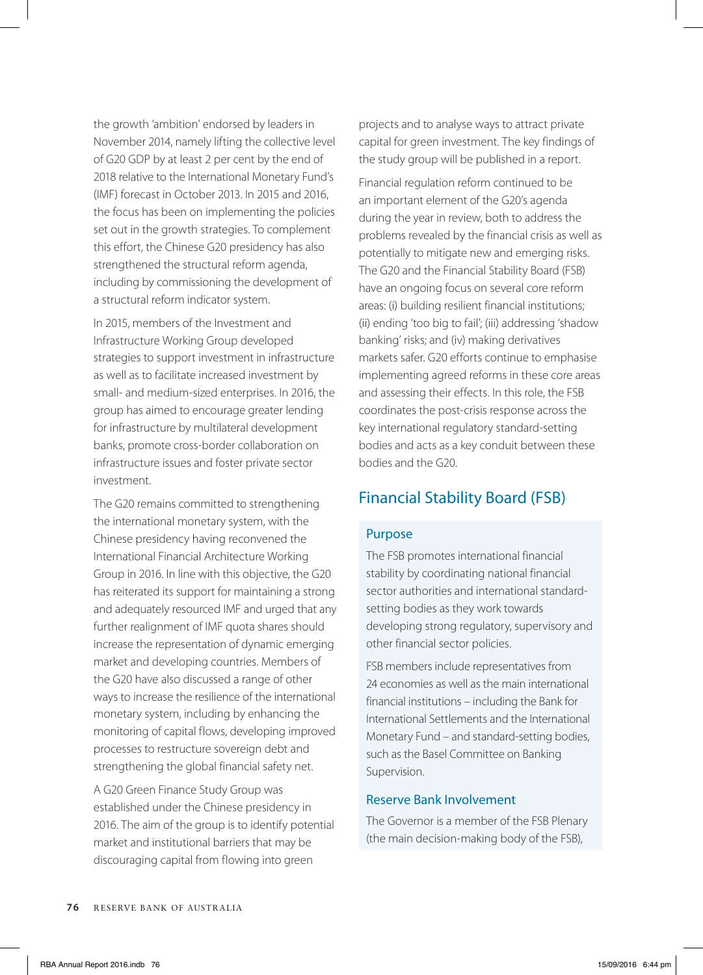the growth 'ambition' endorsed by leaders in November 2014, namely lifting the collective level of G20 GDP by at least 2 per cent by the end of 2018 relative to the International Monetary Fund's (IMF) forecast in October 2013. In 2015 and 2016, the focus has been on implementing the policies set out in the growth strategies. To complement this effort, the Chinese G20 presidency has also strengthened the structural reform agenda, including by commissioning the development of a structural reform indicator system.

In 2015, members of the Investment and Infrastructure Working Group developed strategies to support investment in infrastructure as well as to facilitate increased investment by small- and medium-sized enterprises. In 2016, the group has aimed to encourage greater lending for infrastructure by multilateral development banks, promote cross-border collaboration on infrastructure issues and foster private sector investment.

The G20 remains committed to strengthening the international monetary system, with the Chinese presidency having reconvened the International Financial Architecture Working Group in 2016. In line with this objective, the G20 has reiterated its support for maintaining a strong and adequately resourced IMF and urged that any further realignment of IMF quota shares should increase the representation of dynamic emerging market and developing countries. Members of the G20 have also discussed a range of other ways to increase the resilience of the international monetary system, including by enhancing the monitoring of capital flows, developing improved processes to restructure sovereign debt and strengthening the global financial safety net.

A G20 Green Finance Study Group was established under the Chinese presidency in 2016. The aim of the group is to identify potential market and institutional barriers that may be discouraging capital from flowing into green

projects and to analyse ways to attract private capital for green investment. The key findings of the study group will be published in a report.

Financial regulation reform continued to be an important element of the G20's agenda during the year in review, both to address the problems revealed by the financial crisis as well as potentially to mitigate new and emerging risks. The G20 and the Financial Stability Board (FSB) have an ongoing focus on several core reform areas: (i) building resilient financial institutions; (ii) ending 'too big to fail'; (iii) addressing 'shadow banking' risks; and (iv) making derivatives markets safer. G20 efforts continue to emphasise implementing agreed reforms in these core areas and assessing their effects. In this role, the FSB coordinates the post-crisis response across the key international regulatory standard-setting bodies and acts as a key conduit between these bodies and the G20.

## Financial Stability Board (FSB)

## Purpose

The FSB promotes international financial stability by coordinating national financial sector authorities and international standardsetting bodies as they work towards developing strong regulatory, supervisory and other financial sector policies.

FSB members include representatives from 24 economies as well as the main international financial institutions – including the Bank for International Settlements and the International Monetary Fund – and standard-setting bodies, such as the Basel Committee on Banking Supervision.

#### Reserve Bank Involvement

The Governor is a member of the FSB Plenary (the main decision-making body of the FSB),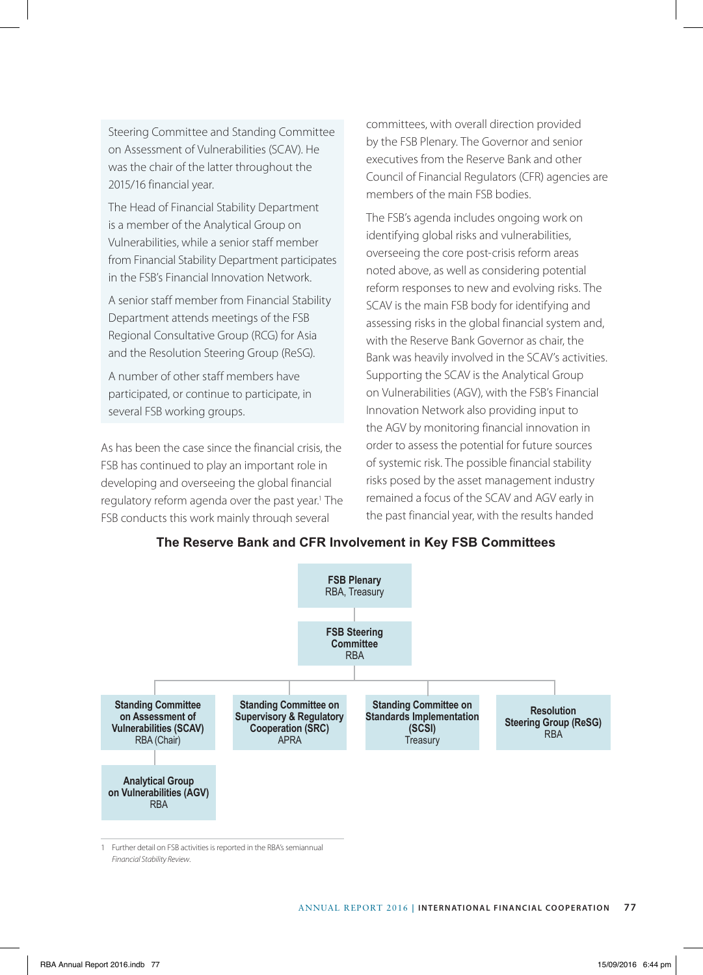Steering Committee and Standing Committee on Assessment of Vulnerabilities (SCAV). He was the chair of the latter throughout the 2015/16 financial year.

The Head of Financial Stability Department is a member of the Analytical Group on Vulnerabilities, while a senior staff member from Financial Stability Department participates in the FSB's Financial Innovation Network.

A senior staff member from Financial Stability Department attends meetings of the FSB Regional Consultative Group (RCG) for Asia and the Resolution Steering Group (ReSG).

A number of other staff members have participated, or continue to participate, in several FSB working groups.

As has been the case since the financial crisis, the FSB has continued to play an important role in developing and overseeing the global financial regulatory reform agenda over the past year.<sup>1</sup> The FSB conducts this work mainly through several

committees, with overall direction provided by the FSB Plenary. The Governor and senior executives from the Reserve Bank and other Council of Financial Regulators (CFR) agencies are members of the main FSB bodies.

The FSB's agenda includes ongoing work on identifying global risks and vulnerabilities, overseeing the core post-crisis reform areas noted above, as well as considering potential reform responses to new and evolving risks. The SCAV is the main FSB body for identifying and assessing risks in the global financial system and, with the Reserve Bank Governor as chair, the Bank was heavily involved in the SCAV's activities. Supporting the SCAV is the Analytical Group on Vulnerabilities (AGV), with the FSB's Financial Innovation Network also providing input to the AGV by monitoring financial innovation in order to assess the potential for future sources of systemic risk. The possible financial stability risks posed by the asset management industry remained a focus of the SCAV and AGV early in the past financial year, with the results handed



**The Reserve Bank and CFR Involvement in Key FSB Committees**

1 Further detail on FSB activities is reported in the RBA's semiannual *Financial Stability Review*.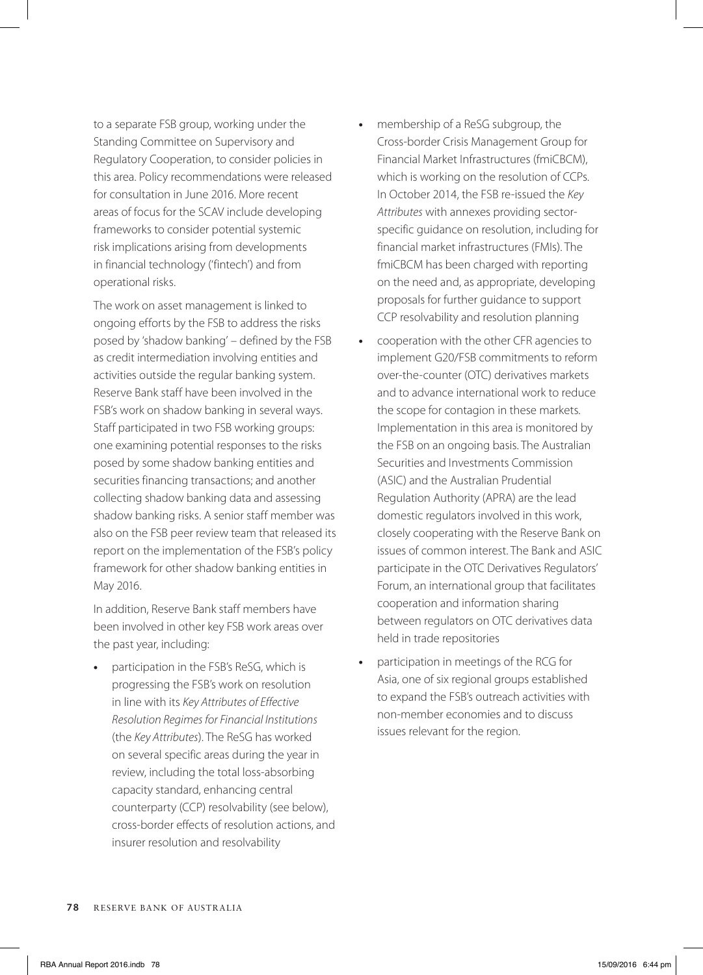to a separate FSB group, working under the Standing Committee on Supervisory and Regulatory Cooperation, to consider policies in this area. Policy recommendations were released for consultation in June 2016. More recent areas of focus for the SCAV include developing frameworks to consider potential systemic risk implications arising from developments in financial technology ('fintech') and from operational risks.

The work on asset management is linked to ongoing efforts by the FSB to address the risks posed by 'shadow banking' – defined by the FSB as credit intermediation involving entities and activities outside the regular banking system. Reserve Bank staff have been involved in the FSB's work on shadow banking in several ways. Staff participated in two FSB working groups: one examining potential responses to the risks posed by some shadow banking entities and securities financing transactions; and another collecting shadow banking data and assessing shadow banking risks. A senior staff member was also on the FSB peer review team that released its report on the implementation of the FSB's policy framework for other shadow banking entities in May 2016.

In addition, Reserve Bank staff members have been involved in other key FSB work areas over the past year, including:

**•** participation in the FSB's ReSG, which is progressing the FSB's work on resolution in line with its *Key Attributes of Effective Resolution Regimes for Financial Institutions* (the *Key Attributes*). The ReSG has worked on several specific areas during the year in review, including the total loss-absorbing capacity standard, enhancing central counterparty (CCP) resolvability (see below), cross-border effects of resolution actions, and insurer resolution and resolvability

- **•** membership of a ReSG subgroup, the Cross-border Crisis Management Group for Financial Market Infrastructures (fmiCBCM), which is working on the resolution of CCPs. In October 2014, the FSB re-issued the *Key Attributes* with annexes providing sectorspecific guidance on resolution, including for financial market infrastructures (FMIs). The fmiCBCM has been charged with reporting on the need and, as appropriate, developing proposals for further guidance to support CCP resolvability and resolution planning
- **•** cooperation with the other CFR agencies to implement G20/FSB commitments to reform over-the-counter (OTC) derivatives markets and to advance international work to reduce the scope for contagion in these markets. Implementation in this area is monitored by the FSB on an ongoing basis. The Australian Securities and Investments Commission (ASIC) and the Australian Prudential Regulation Authority (APRA) are the lead domestic regulators involved in this work, closely cooperating with the Reserve Bank on issues of common interest. The Bank and ASIC participate in the OTC Derivatives Regulators' Forum, an international group that facilitates cooperation and information sharing between regulators on OTC derivatives data held in trade repositories
- **•** participation in meetings of the RCG for Asia, one of six regional groups established to expand the FSB's outreach activities with non-member economies and to discuss issues relevant for the region.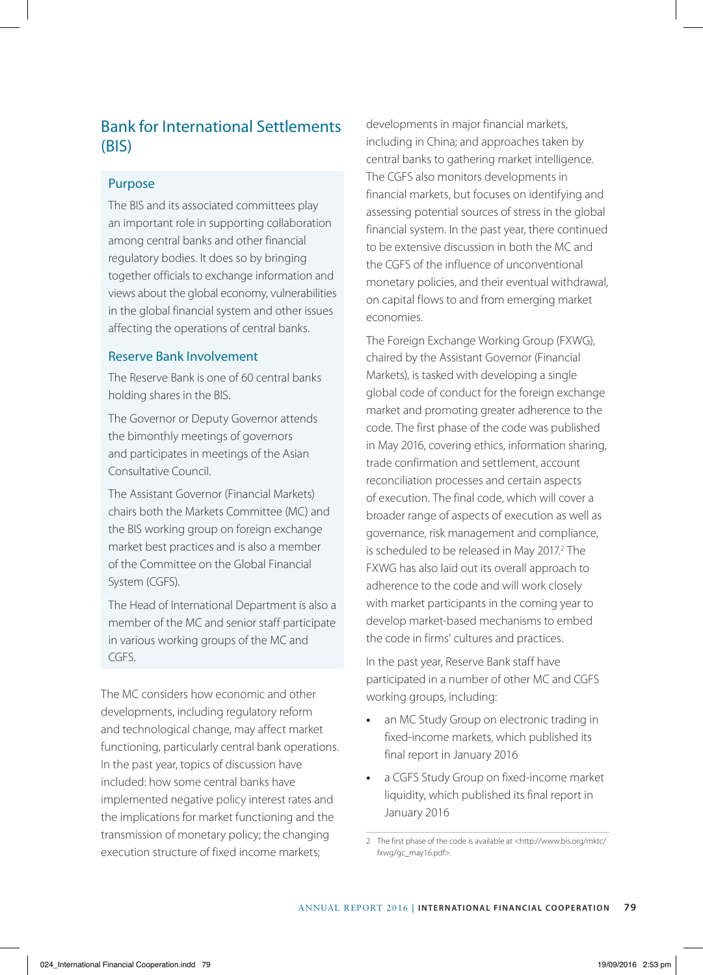# Bank for International Settlements (BIS)

## Purpose

The BIS and its associated committees play an important role in supporting collaboration among central banks and other financial regulatory bodies. It does so by bringing together officials to exchange information and views about the global economy, vulnerabilities in the global financial system and other issues affecting the operations of central banks.

#### Reserve Bank Involvement

The Reserve Bank is one of 60 central banks holding shares in the BIS.

The Governor or Deputy Governor attends the bimonthly meetings of governors and participates in meetings of the Asian Consultative Council.

The Assistant Governor (Financial Markets) chairs both the Markets Committee (MC) and the BIS working group on foreign exchange market best practices and is also a member of the Committee on the Global Financial System (CGFS).

The Head of International Department is also a member of the MC and senior staff participate in various working groups of the MC and CGFS.

The MC considers how economic and other developments, including regulatory reform and technological change, may affect market functioning, particularly central bank operations. In the past year, topics of discussion have included: how some central banks have implemented negative policy interest rates and the implications for market functioning and the transmission of monetary policy; the changing execution structure of fixed income markets;

developments in major financial markets, including in China; and approaches taken by central banks to gathering market intelligence. The CGFS also monitors developments in financial markets, but focuses on identifying and assessing potential sources of stress in the global financial system. In the past year, there continued to be extensive discussion in both the MC and the CGFS of the influence of unconventional monetary policies, and their eventual withdrawal, on capital flows to and from emerging market economies.

The Foreign Exchange Working Group (FXWG), chaired by the Assistant Governor (Financial Markets), is tasked with developing a single global code of conduct for the foreign exchange market and promoting greater adherence to the code. The first phase of the code was published in May 2016, covering ethics, information sharing, trade confirmation and settlement, account reconciliation processes and certain aspects of execution. The final code, which will cover a broader range of aspects of execution as well as governance, risk management and compliance, is scheduled to be released in May 2017.<sup>2</sup> The FXWG has also laid out its overall approach to adherence to the code and will work closely with market participants in the coming year to develop market-based mechanisms to embed the code in firms' cultures and practices.

In the past year, Reserve Bank staff have participated in a number of other MC and CGFS working groups, including:

- **•** an MC Study Group on electronic trading in fixed-income markets, which published its final report in January 2016
- **•** a CGFS Study Group on fixed-income market liquidity, which published its final report in January 2016

<sup>2</sup> The first phase of the code is available at <http://www.bis.org/mktc/ fxwg/gc\_may16.pdf>.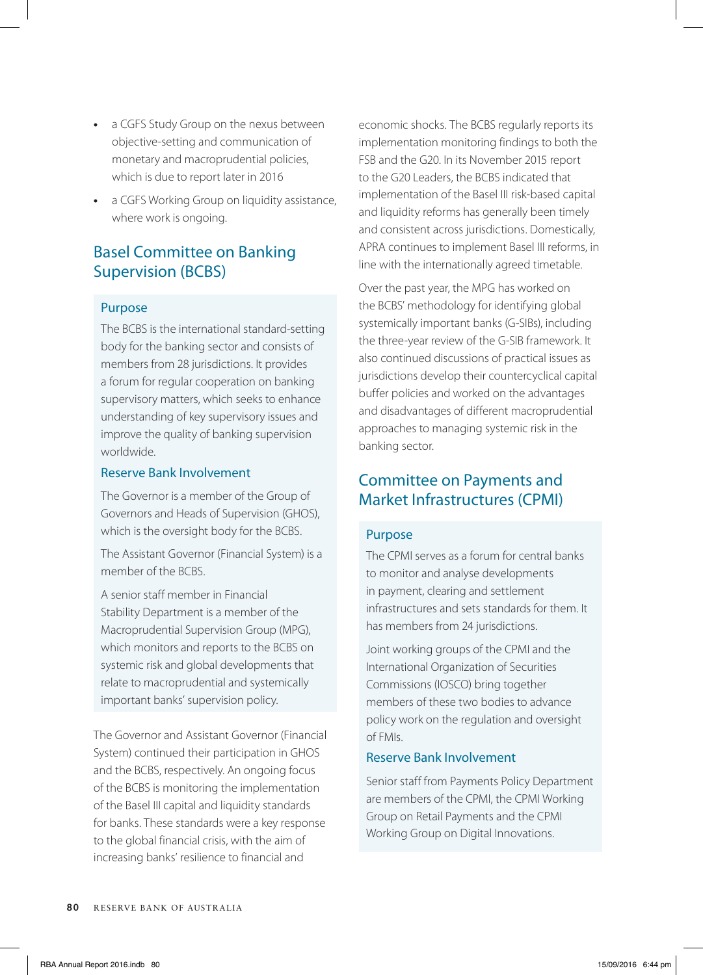- **•** a CGFS Study Group on the nexus between objective-setting and communication of monetary and macroprudential policies, which is due to report later in 2016
- **•** a CGFS Working Group on liquidity assistance, where work is ongoing.

# Basel Committee on Banking Supervision (BCBS)

## Purpose

The BCBS is the international standard-setting body for the banking sector and consists of members from 28 jurisdictions. It provides a forum for regular cooperation on banking supervisory matters, which seeks to enhance understanding of key supervisory issues and improve the quality of banking supervision worldwide.

## Reserve Bank Involvement

The Governor is a member of the Group of Governors and Heads of Supervision (GHOS), which is the oversight body for the BCBS.

The Assistant Governor (Financial System) is a member of the BCBS.

A senior staff member in Financial Stability Department is a member of the Macroprudential Supervision Group (MPG), which monitors and reports to the BCBS on systemic risk and global developments that relate to macroprudential and systemically important banks' supervision policy.

The Governor and Assistant Governor (Financial System) continued their participation in GHOS and the BCBS, respectively. An ongoing focus of the BCBS is monitoring the implementation of the Basel III capital and liquidity standards for banks. These standards were a key response to the global financial crisis, with the aim of increasing banks' resilience to financial and

economic shocks. The BCBS regularly reports its implementation monitoring findings to both the FSB and the G20. In its November 2015 report to the G20 Leaders, the BCBS indicated that implementation of the Basel III risk-based capital and liquidity reforms has generally been timely and consistent across jurisdictions. Domestically, APRA continues to implement Basel III reforms, in line with the internationally agreed timetable.

Over the past year, the MPG has worked on the BCBS' methodology for identifying global systemically important banks (G-SIBs), including the three-year review of the G-SIB framework. It also continued discussions of practical issues as jurisdictions develop their countercyclical capital buffer policies and worked on the advantages and disadvantages of different macroprudential approaches to managing systemic risk in the banking sector.

## Committee on Payments and Market Infrastructures (CPMI)

## Purpose

The CPMI serves as a forum for central banks to monitor and analyse developments in payment, clearing and settlement infrastructures and sets standards for them. It has members from 24 jurisdictions.

Joint working groups of the CPMI and the International Organization of Securities Commissions (IOSCO) bring together members of these two bodies to advance policy work on the regulation and oversight of FMIs.

## Reserve Bank Involvement

Senior staff from Payments Policy Department are members of the CPMI, the CPMI Working Group on Retail Payments and the CPMI Working Group on Digital Innovations.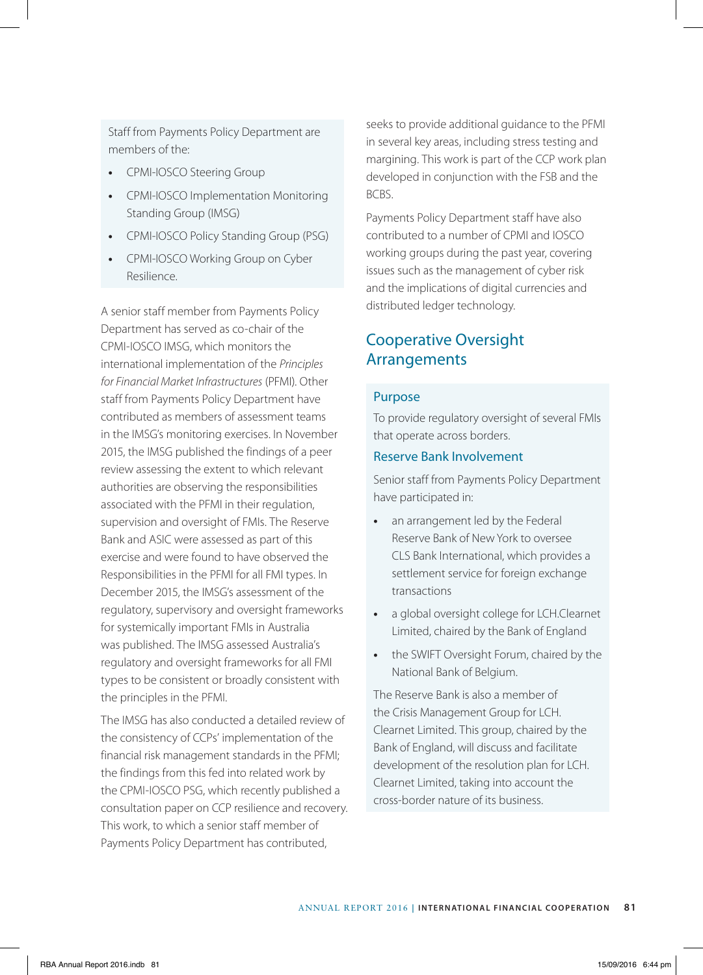Staff from Payments Policy Department are members of the:

- **•** CPMI-IOSCO Steering Group
- **•** CPMI-IOSCO Implementation Monitoring Standing Group (IMSG)
- **•** CPMI-IOSCO Policy Standing Group (PSG)
- **•** CPMI-IOSCO Working Group on Cyber Resilience.

A senior staff member from Payments Policy Department has served as co-chair of the CPMI-IOSCO IMSG, which monitors the international implementation of the *Principles for Financial Market Infrastructures* (PFMI). Other staff from Payments Policy Department have contributed as members of assessment teams in the IMSG's monitoring exercises. In November 2015, the IMSG published the findings of a peer review assessing the extent to which relevant authorities are observing the responsibilities associated with the PFMI in their regulation, supervision and oversight of FMIs. The Reserve Bank and ASIC were assessed as part of this exercise and were found to have observed the Responsibilities in the PFMI for all FMI types. In December 2015, the IMSG's assessment of the regulatory, supervisory and oversight frameworks for systemically important FMIs in Australia was published. The IMSG assessed Australia's regulatory and oversight frameworks for all FMI types to be consistent or broadly consistent with the principles in the PFMI.

The IMSG has also conducted a detailed review of the consistency of CCPs' implementation of the financial risk management standards in the PFMI; the findings from this fed into related work by the CPMI-IOSCO PSG, which recently published a consultation paper on CCP resilience and recovery. This work, to which a senior staff member of Payments Policy Department has contributed,

seeks to provide additional guidance to the PFMI in several key areas, including stress testing and margining. This work is part of the CCP work plan developed in conjunction with the FSB and the BCBS.

Payments Policy Department staff have also contributed to a number of CPMI and IOSCO working groups during the past year, covering issues such as the management of cyber risk and the implications of digital currencies and distributed ledger technology.

## Cooperative Oversight Arrangements

#### Purpose

To provide regulatory oversight of several FMIs that operate across borders.

#### Reserve Bank Involvement

Senior staff from Payments Policy Department have participated in:

- **•** an arrangement led by the Federal Reserve Bank of New York to oversee CLS Bank International, which provides a settlement service for foreign exchange transactions
- **•** a global oversight college for LCH.Clearnet Limited, chaired by the Bank of England
- **•** the SWIFT Oversight Forum, chaired by the National Bank of Belgium.

The Reserve Bank is also a member of the Crisis Management Group for LCH. Clearnet Limited. This group, chaired by the Bank of England, will discuss and facilitate development of the resolution plan for LCH. Clearnet Limited, taking into account the cross-border nature of its business.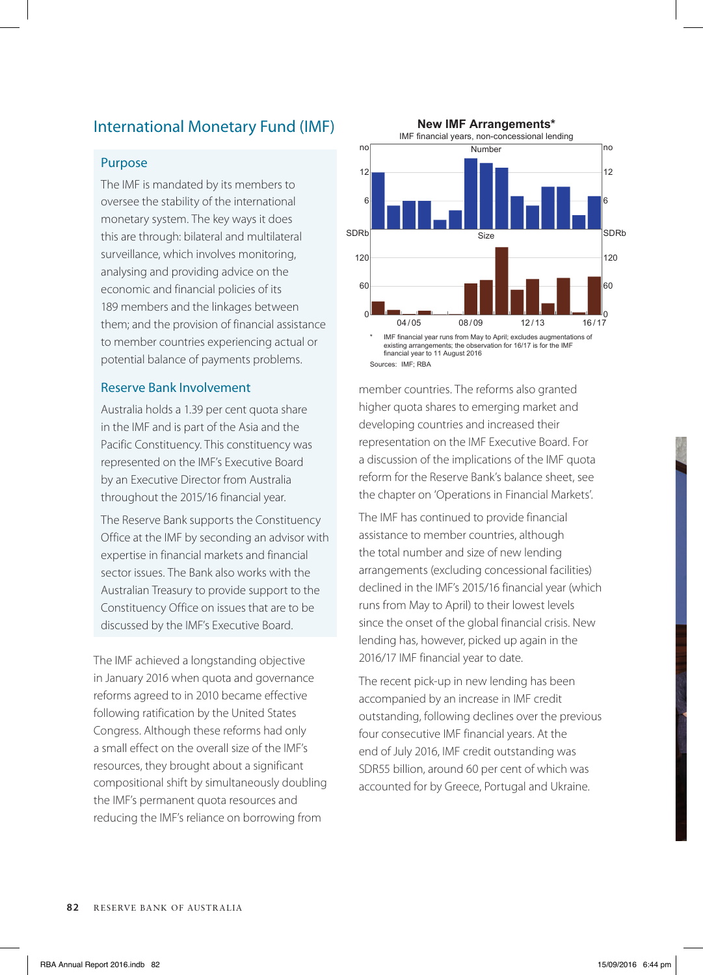# International Monetary Fund (IMF)

#### Purpose

The IMF is mandated by its members to oversee the stability of the international monetary system. The key ways it does this are through: bilateral and multilateral surveillance, which involves monitoring, analysing and providing advice on the economic and financial policies of its 189 members and the linkages between them; and the provision of financial assistance to member countries experiencing actual or potential balance of payments problems.

#### Reserve Bank Involvement

Australia holds a 1.39 per cent quota share in the IMF and is part of the Asia and the Pacific Constituency. This constituency was represented on the IMF's Executive Board by an Executive Director from Australia throughout the 2015/16 financial year.

The Reserve Bank supports the Constituency Office at the IMF by seconding an advisor with expertise in financial markets and financial sector issues. The Bank also works with the Australian Treasury to provide support to the Constituency Office on issues that are to be discussed by the IMF's Executive Board.

The IMF achieved a longstanding objective in January 2016 when quota and governance reforms agreed to in 2010 became effective following ratification by the United States Congress. Although these reforms had only a small effect on the overall size of the IMF's resources, they brought about a significant compositional shift by simultaneously doubling the IMF's permanent quota resources and reducing the IMF's reliance on borrowing from



Sources: IMF; RBA

member countries. The reforms also granted higher quota shares to emerging market and developing countries and increased their representation on the IMF Executive Board. For a discussion of the implications of the IMF quota reform for the Reserve Bank's balance sheet, see the chapter on 'Operations in Financial Markets'.

The IMF has continued to provide financial assistance to member countries, although the total number and size of new lending arrangements (excluding concessional facilities) declined in the IMF's 2015/16 financial year (which runs from May to April) to their lowest levels since the onset of the global financial crisis. New lending has, however, picked up again in the 2016/17 IMF financial year to date.

The recent pick-up in new lending has been accompanied by an increase in IMF credit outstanding, following declines over the previous four consecutive IMF financial years. At the end of July 2016, IMF credit outstanding was SDR55 billion, around 60 per cent of which was accounted for by Greece, Portugal and Ukraine.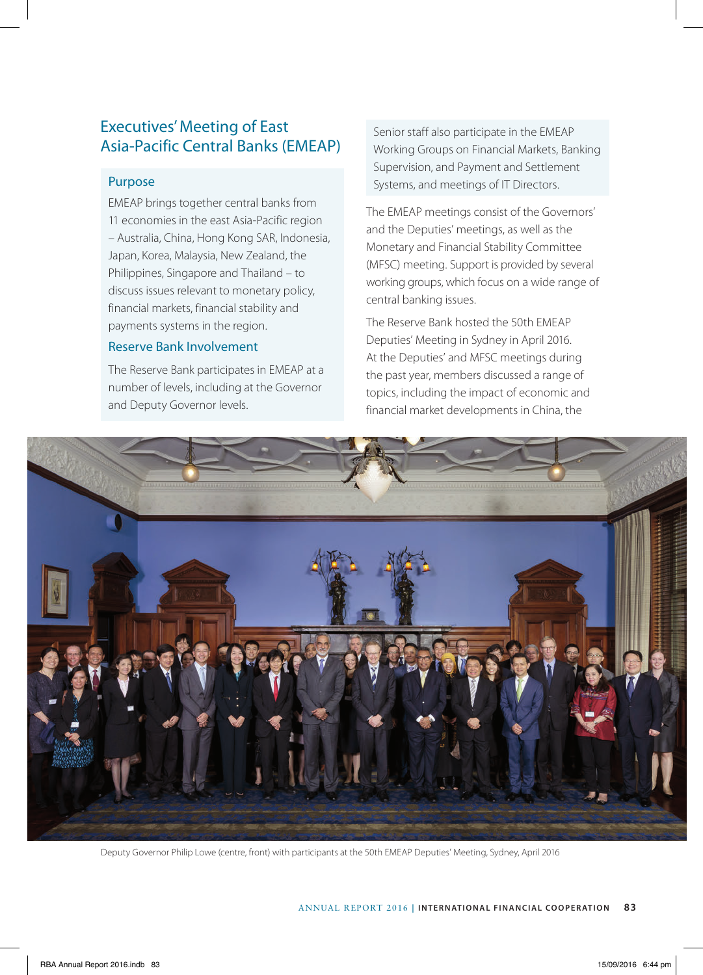# Executives' Meeting of East Asia-Pacific Central Banks (EMEAP)

## Purpose

EMEAP brings together central banks from 11 economies in the east Asia-Pacific region – Australia, China, Hong Kong SAR, Indonesia, Japan, Korea, Malaysia, New Zealand, the Philippines, Singapore and Thailand – to discuss issues relevant to monetary policy, financial markets, financial stability and payments systems in the region.

#### Reserve Bank Involvement

The Reserve Bank participates in EMEAP at a number of levels, including at the Governor and Deputy Governor levels.

Senior staff also participate in the EMEAP Working Groups on Financial Markets, Banking Supervision, and Payment and Settlement Systems, and meetings of IT Directors.

The EMEAP meetings consist of the Governors' and the Deputies' meetings, as well as the Monetary and Financial Stability Committee (MFSC) meeting. Support is provided by several working groups, which focus on a wide range of central banking issues.

The Reserve Bank hosted the 50th EMEAP Deputies' Meeting in Sydney in April 2016. At the Deputies' and MFSC meetings during the past year, members discussed a range of topics, including the impact of economic and financial market developments in China, the



Deputy Governor Philip Lowe (centre, front) with participants at the 50th EMEAP Deputies' Meeting, Sydney, April 2016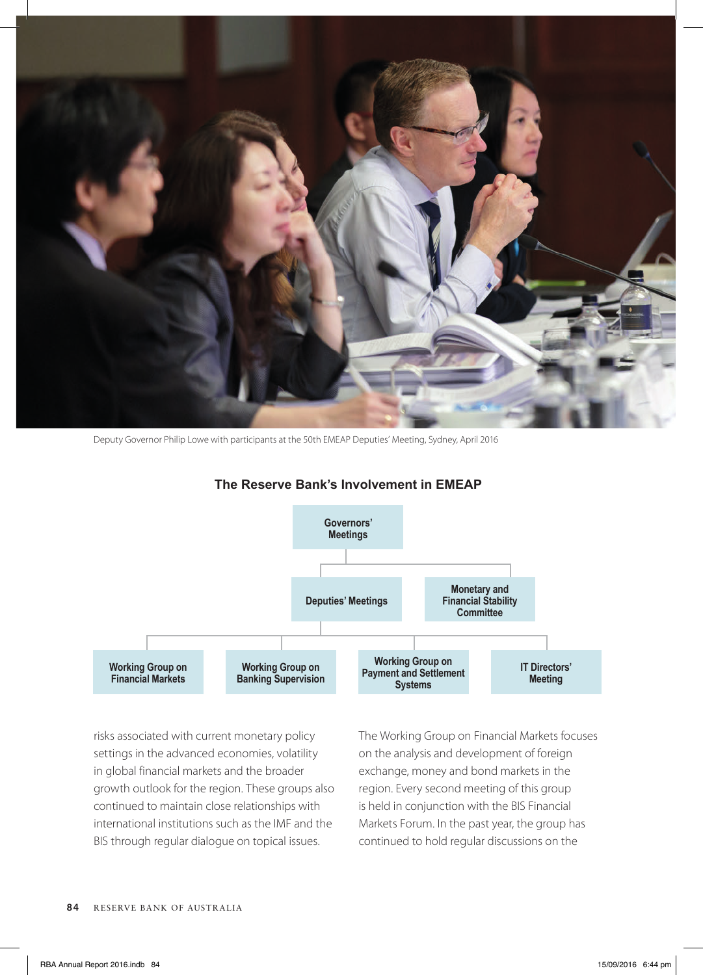

Deputy Governor Philip Lowe with participants at the 50th EMEAP Deputies' Meeting, Sydney, April 2016



#### **The Reserve Bank's Involvement in EMEAP**

risks associated with current monetary policy settings in the advanced economies, volatility in global financial markets and the broader growth outlook for the region. These groups also continued to maintain close relationships with international institutions such as the IMF and the BIS through regular dialogue on topical issues.

The Working Group on Financial Markets focuses on the analysis and development of foreign exchange, money and bond markets in the region. Every second meeting of this group is held in conjunction with the BIS Financial Markets Forum. In the past year, the group has continued to hold regular discussions on the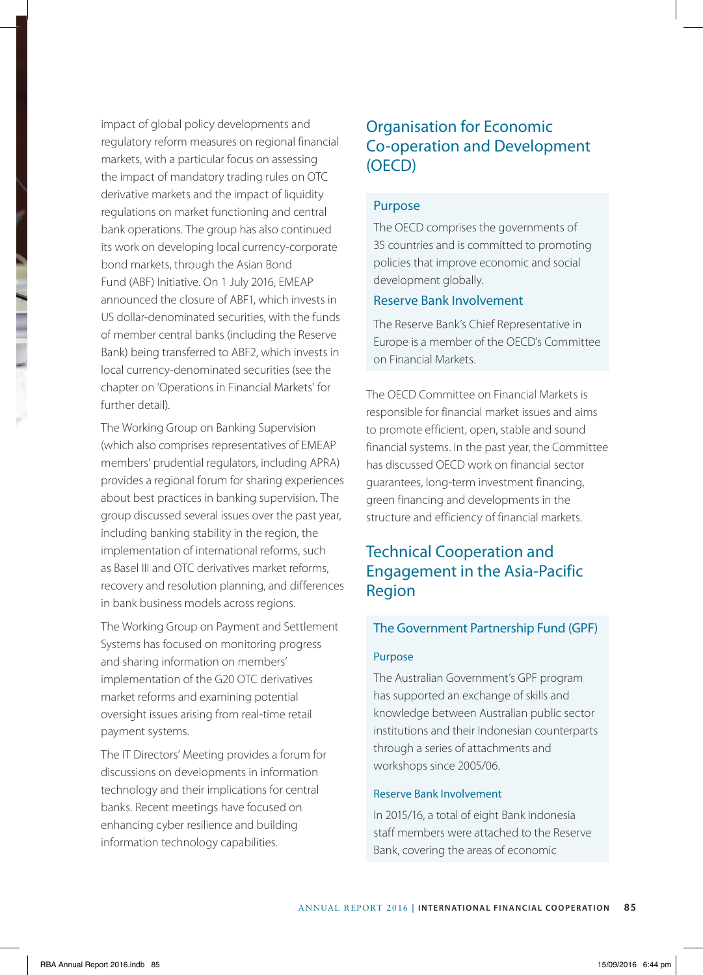impact of global policy developments and regulatory reform measures on regional financial markets, with a particular focus on assessing the impact of mandatory trading rules on OTC derivative markets and the impact of liquidity regulations on market functioning and central bank operations. The group has also continued its work on developing local currency-corporate bond markets, through the Asian Bond Fund (ABF) Initiative. On 1 July 2016, EMEAP announced the closure of ABF1, which invests in US dollar-denominated securities, with the funds of member central banks (including the Reserve Bank) being transferred to ABF2, which invests in local currency-denominated securities (see the chapter on 'Operations in Financial Markets' for further detail).

The Working Group on Banking Supervision (which also comprises representatives of EMEAP members' prudential regulators, including APRA) provides a regional forum for sharing experiences about best practices in banking supervision. The group discussed several issues over the past year, including banking stability in the region, the implementation of international reforms, such as Basel III and OTC derivatives market reforms, recovery and resolution planning, and differences in bank business models across regions.

The Working Group on Payment and Settlement Systems has focused on monitoring progress and sharing information on members' implementation of the G20 OTC derivatives market reforms and examining potential oversight issues arising from real-time retail payment systems.

The IT Directors' Meeting provides a forum for discussions on developments in information technology and their implications for central banks. Recent meetings have focused on enhancing cyber resilience and building information technology capabilities.

# Organisation for Economic Co-operation and Development (OECD)

#### Purpose

The OECD comprises the governments of 35 countries and is committed to promoting policies that improve economic and social development globally.

#### Reserve Bank Involvement

The Reserve Bank's Chief Representative in Europe is a member of the OECD's Committee on Financial Markets.

The OECD Committee on Financial Markets is responsible for financial market issues and aims to promote efficient, open, stable and sound financial systems. In the past year, the Committee has discussed OECD work on financial sector guarantees, long-term investment financing, green financing and developments in the structure and efficiency of financial markets.

# Technical Cooperation and Engagement in the Asia-Pacific Region

#### The Government Partnership Fund (GPF)

#### Purpose

The Australian Government's GPF program has supported an exchange of skills and knowledge between Australian public sector institutions and their Indonesian counterparts through a series of attachments and workshops since 2005/06.

#### Reserve Bank Involvement

In 2015/16, a total of eight Bank Indonesia staff members were attached to the Reserve Bank, covering the areas of economic